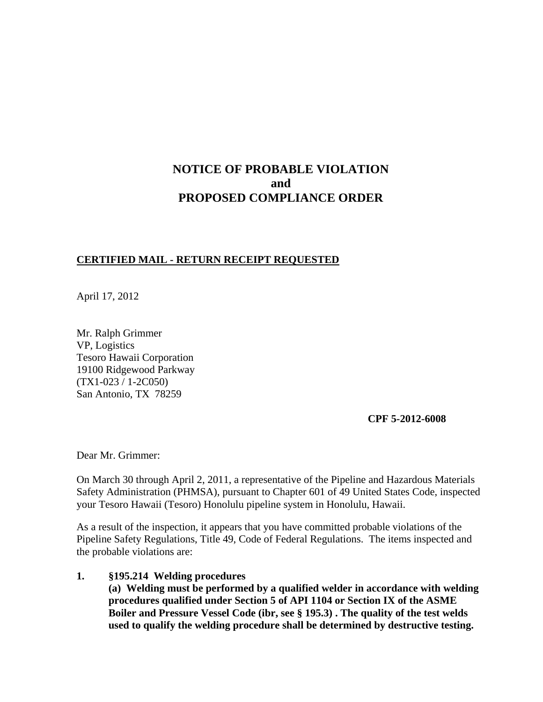# **NOTICE OF PROBABLE VIOLATION and PROPOSED COMPLIANCE ORDER**

#### **CERTIFIED MAIL - RETURN RECEIPT REQUESTED**

April 17, 2012

Mr. Ralph Grimmer VP, Logistics Tesoro Hawaii Corporation 19100 Ridgewood Parkway (TX1-023 / 1-2C050) San Antonio, TX 78259

**CPF 5-2012-6008**

Dear Mr. Grimmer:

On March 30 through April 2, 2011, a representative of the Pipeline and Hazardous Materials Safety Administration (PHMSA), pursuant to Chapter 601 of 49 United States Code, inspected your Tesoro Hawaii (Tesoro) Honolulu pipeline system in Honolulu, Hawaii.

As a result of the inspection, it appears that you have committed probable violations of the Pipeline Safety Regulations, Title 49, Code of Federal Regulations. The items inspected and the probable violations are:

#### **1. §195.214 Welding procedures**

**(a) Welding must be performed by a qualified welder in accordance with welding procedures qualified under Section 5 of API 1104 or Section IX of the ASME Boiler and Pressure Vessel Code (ibr, see § 195.3) . The quality of the test welds used to qualify the welding procedure shall be determined by destructive testing.**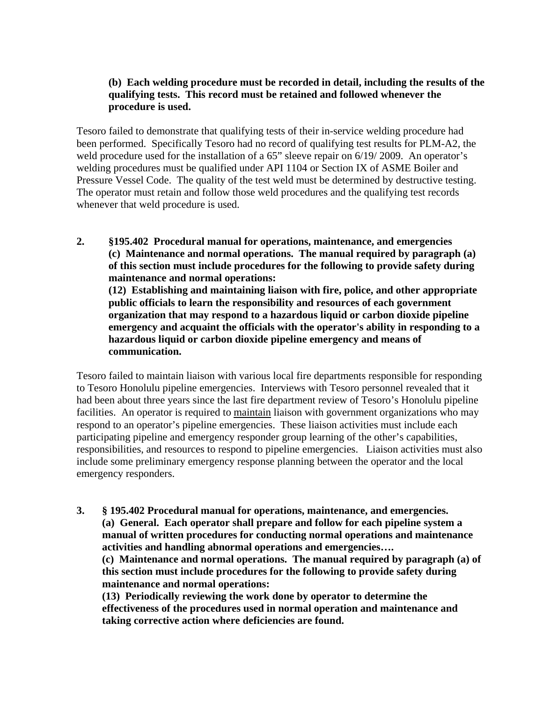## **(b) Each welding procedure must be recorded in detail, including the results of the qualifying tests. This record must be retained and followed whenever the procedure is used.**

Tesoro failed to demonstrate that qualifying tests of their in-service welding procedure had been performed. Specifically Tesoro had no record of qualifying test results for PLM-A2, the weld procedure used for the installation of a 65" sleeve repair on 6/19/ 2009. An operator's welding procedures must be qualified under API 1104 or Section IX of ASME Boiler and Pressure Vessel Code. The quality of the test weld must be determined by destructive testing. The operator must retain and follow those weld procedures and the qualifying test records whenever that weld procedure is used.

**2. §195.402 Procedural manual for operations, maintenance, and emergencies (c) Maintenance and normal operations. The manual required by paragraph (a) of this section must include procedures for the following to provide safety during maintenance and normal operations: (12) Establishing and maintaining liaison with fire, police, and other appropriate public officials to learn the responsibility and resources of each government organization that may respond to a hazardous liquid or carbon dioxide pipeline emergency and acquaint the officials with the operator's ability in responding to a hazardous liquid or carbon dioxide pipeline emergency and means of communication.**

Tesoro failed to maintain liaison with various local fire departments responsible for responding to Tesoro Honolulu pipeline emergencies. Interviews with Tesoro personnel revealed that it had been about three years since the last fire department review of Tesoro's Honolulu pipeline facilities. An operator is required to maintain liaison with government organizations who may respond to an operator's pipeline emergencies. These liaison activities must include each participating pipeline and emergency responder group learning of the other's capabilities, responsibilities, and resources to respond to pipeline emergencies. Liaison activities must also include some preliminary emergency response planning between the operator and the local emergency responders.

**3. § 195.402 Procedural manual for operations, maintenance, and emergencies. (a) General. Each operator shall prepare and follow for each pipeline system a manual of written procedures for conducting normal operations and maintenance activities and handling abnormal operations and emergencies…. (c) Maintenance and normal operations. The manual required by paragraph (a) of this section must include procedures for the following to provide safety during maintenance and normal operations: (13) Periodically reviewing the work done by operator to determine the effectiveness of the procedures used in normal operation and maintenance and** 

**taking corrective action where deficiencies are found.**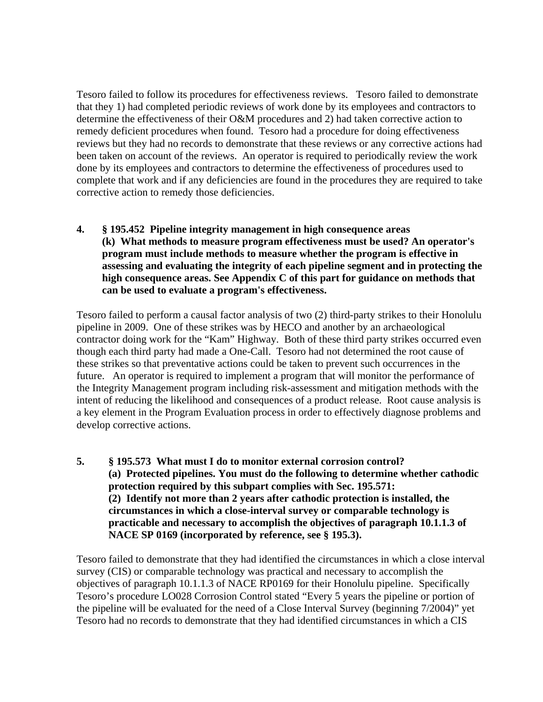Tesoro failed to follow its procedures for effectiveness reviews. Tesoro failed to demonstrate that they 1) had completed periodic reviews of work done by its employees and contractors to determine the effectiveness of their O&M procedures and 2) had taken corrective action to remedy deficient procedures when found. Tesoro had a procedure for doing effectiveness reviews but they had no records to demonstrate that these reviews or any corrective actions had been taken on account of the reviews. An operator is required to periodically review the work done by its employees and contractors to determine the effectiveness of procedures used to complete that work and if any deficiencies are found in the procedures they are required to take corrective action to remedy those deficiencies.

**4. § 195.452 Pipeline integrity management in high consequence areas (k) What methods to measure program effectiveness must be used? An operator's program must include methods to measure whether the program is effective in assessing and evaluating the integrity of each pipeline segment and in protecting the high consequence areas. See Appendix C of this part for guidance on methods that can be used to evaluate a program's effectiveness.**

Tesoro failed to perform a causal factor analysis of two (2) third-party strikes to their Honolulu pipeline in 2009. One of these strikes was by HECO and another by an archaeological contractor doing work for the "Kam" Highway. Both of these third party strikes occurred even though each third party had made a One-Call. Tesoro had not determined the root cause of these strikes so that preventative actions could be taken to prevent such occurrences in the future. An operator is required to implement a program that will monitor the performance of the Integrity Management program including risk-assessment and mitigation methods with the intent of reducing the likelihood and consequences of a product release. Root cause analysis is a key element in the Program Evaluation process in order to effectively diagnose problems and develop corrective actions.

**5. § 195.573 What must I do to monitor external corrosion control? (a) Protected pipelines. You must do the following to determine whether cathodic protection required by this subpart complies with Sec. 195.571: (2) Identify not more than 2 years after cathodic protection is installed, the circumstances in which a close-interval survey or comparable technology is practicable and necessary to accomplish the objectives of paragraph 10.1.1.3 of NACE SP 0169 (incorporated by reference, see § 195.3).**

Tesoro failed to demonstrate that they had identified the circumstances in which a close interval survey (CIS) or comparable technology was practical and necessary to accomplish the objectives of paragraph 10.1.1.3 of NACE RP0169 for their Honolulu pipeline. Specifically Tesoro's procedure LO028 Corrosion Control stated "Every 5 years the pipeline or portion of the pipeline will be evaluated for the need of a Close Interval Survey (beginning 7/2004)" yet Tesoro had no records to demonstrate that they had identified circumstances in which a CIS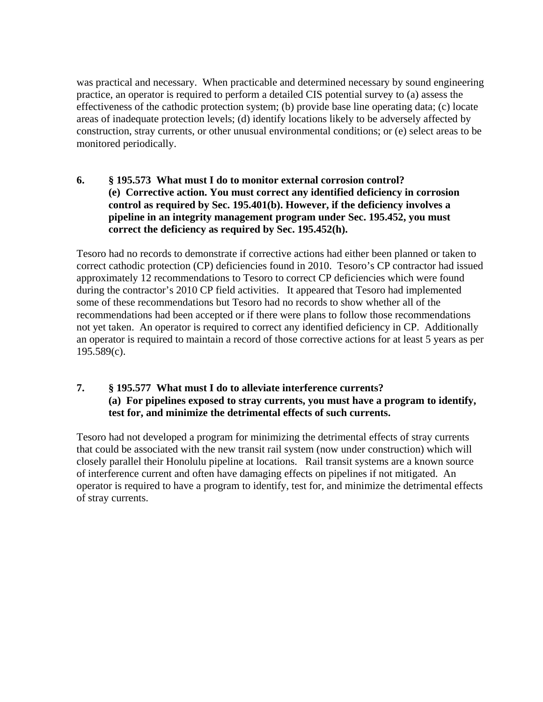was practical and necessary. When practicable and determined necessary by sound engineering practice, an operator is required to perform a detailed CIS potential survey to (a) assess the effectiveness of the cathodic protection system; (b) provide base line operating data; (c) locate areas of inadequate protection levels; (d) identify locations likely to be adversely affected by construction, stray currents, or other unusual environmental conditions; or (e) select areas to be monitored periodically.

# **6. § 195.573 What must I do to monitor external corrosion control? (e) Corrective action. You must correct any identified deficiency in corrosion control as required by Sec. 195.401(b). However, if the deficiency involves a pipeline in an integrity management program under Sec. 195.452, you must correct the deficiency as required by Sec. 195.452(h).**

Tesoro had no records to demonstrate if corrective actions had either been planned or taken to correct cathodic protection (CP) deficiencies found in 2010. Tesoro's CP contractor had issued approximately 12 recommendations to Tesoro to correct CP deficiencies which were found during the contractor's 2010 CP field activities. It appeared that Tesoro had implemented some of these recommendations but Tesoro had no records to show whether all of the recommendations had been accepted or if there were plans to follow those recommendations not yet taken. An operator is required to correct any identified deficiency in CP. Additionally an operator is required to maintain a record of those corrective actions for at least 5 years as per 195.589(c).

# **7. § 195.577 What must I do to alleviate interference currents? (a) For pipelines exposed to stray currents, you must have a program to identify, test for, and minimize the detrimental effects of such currents.**

Tesoro had not developed a program for minimizing the detrimental effects of stray currents that could be associated with the new transit rail system (now under construction) which will closely parallel their Honolulu pipeline at locations. Rail transit systems are a known source of interference current and often have damaging effects on pipelines if not mitigated. An operator is required to have a program to identify, test for, and minimize the detrimental effects of stray currents.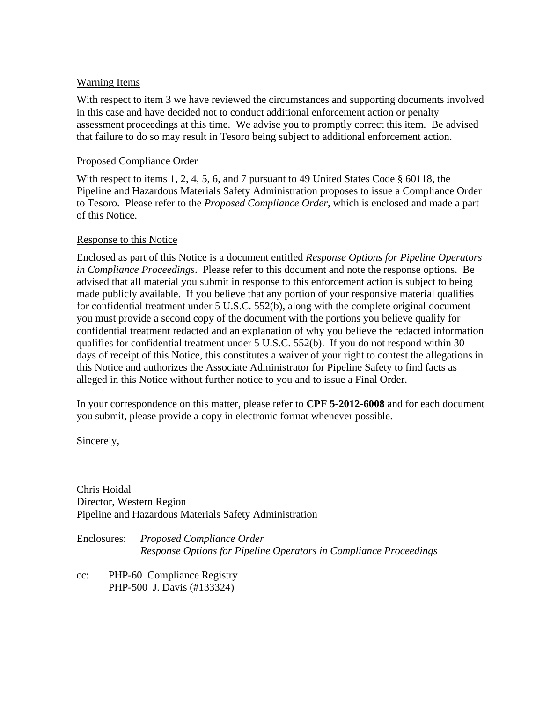## Warning Items

With respect to item 3 we have reviewed the circumstances and supporting documents involved in this case and have decided not to conduct additional enforcement action or penalty assessment proceedings at this time. We advise you to promptly correct this item. Be advised that failure to do so may result in Tesoro being subject to additional enforcement action.

### Proposed Compliance Order

With respect to items 1, 2, 4, 5, 6, and 7 pursuant to 49 United States Code § 60118, the Pipeline and Hazardous Materials Safety Administration proposes to issue a Compliance Order to Tesoro. Please refer to the *Proposed Compliance Order*, which is enclosed and made a part of this Notice.

## Response to this Notice

Enclosed as part of this Notice is a document entitled *Response Options for Pipeline Operators in Compliance Proceedings*. Please refer to this document and note the response options. Be advised that all material you submit in response to this enforcement action is subject to being made publicly available. If you believe that any portion of your responsive material qualifies for confidential treatment under 5 U.S.C. 552(b), along with the complete original document you must provide a second copy of the document with the portions you believe qualify for confidential treatment redacted and an explanation of why you believe the redacted information qualifies for confidential treatment under 5 U.S.C. 552(b). If you do not respond within 30 days of receipt of this Notice, this constitutes a waiver of your right to contest the allegations in this Notice and authorizes the Associate Administrator for Pipeline Safety to find facts as alleged in this Notice without further notice to you and to issue a Final Order.

In your correspondence on this matter, please refer to **CPF 5-2012-6008** and for each document you submit, please provide a copy in electronic format whenever possible.

Sincerely,

Chris Hoidal Director, Western Region Pipeline and Hazardous Materials Safety Administration

Enclosures: *Proposed Compliance Order Response Options for Pipeline Operators in Compliance Proceedings*

cc: PHP-60 Compliance Registry PHP-500 J. Davis (#133324)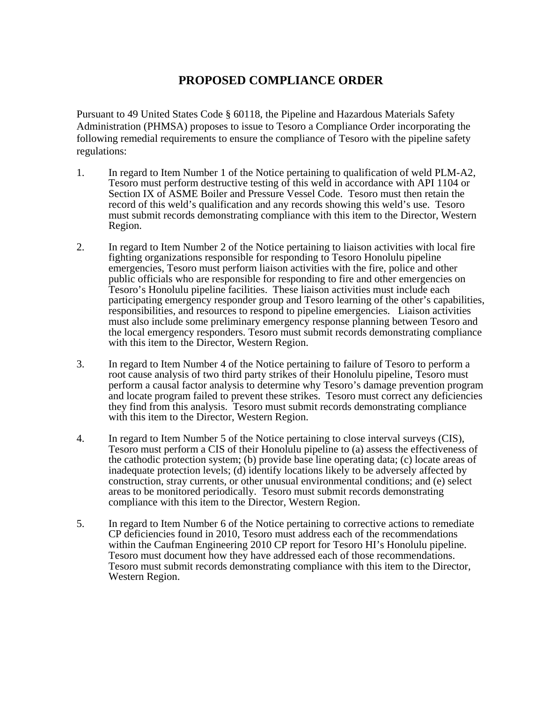# **PROPOSED COMPLIANCE ORDER**

Pursuant to 49 United States Code § 60118, the Pipeline and Hazardous Materials Safety Administration (PHMSA) proposes to issue to Tesoro a Compliance Order incorporating the following remedial requirements to ensure the compliance of Tesoro with the pipeline safety regulations:

- 1. In regard to Item Number 1 of the Notice pertaining to qualification of weld PLM-A2, Tesoro must perform destructive testing of this weld in accordance with API 1104 or Section IX of ASME Boiler and Pressure Vessel Code. Tesoro must then retain the record of this weld's qualification and any records showing this weld's use. Tesoro must submit records demonstrating compliance with this item to the Director, Western Region.
- 2. In regard to Item Number 2 of the Notice pertaining to liaison activities with local fire fighting organizations responsible for responding to Tesoro Honolulu pipeline emergencies, Tesoro must perform liaison activities with the fire, police and other public officials who are responsible for responding to fire and other emergencies on Tesoro's Honolulu pipeline facilities. These liaison activities must include each participating emergency responder group and Tesoro learning of the other's capabilities, responsibilities, and resources to respond to pipeline emergencies. Liaison activities must also include some preliminary emergency response planning between Tesoro and the local emergency responders. Tesoro must submit records demonstrating compliance with this item to the Director, Western Region.
- 3. In regard to Item Number 4 of the Notice pertaining to failure of Tesoro to perform a root cause analysis of two third party strikes of their Honolulu pipeline, Tesoro must perform a causal factor analysis to determine why Tesoro's damage prevention program and locate program failed to prevent these strikes. Tesoro must correct any deficiencies they find from this analysis. Tesoro must submit records demonstrating compliance with this item to the Director, Western Region.
- 4. In regard to Item Number 5 of the Notice pertaining to close interval surveys (CIS), Tesoro must perform a CIS of their Honolulu pipeline to (a) assess the effectiveness of the cathodic protection system; (b) provide base line operating data; (c) locate areas of inadequate protection levels; (d) identify locations likely to be adversely affected by construction, stray currents, or other unusual environmental conditions; and (e) select areas to be monitored periodically. Tesoro must submit records demonstrating compliance with this item to the Director, Western Region.
- 5. In regard to Item Number 6 of the Notice pertaining to corrective actions to remediate CP deficiencies found in 2010, Tesoro must address each of the recommendations within the Caufman Engineering 2010 CP report for Tesoro HI's Honolulu pipeline.<br>Tesoro must document how they have addressed each of those recommendations.<br>Tesoro must submit records demonstrating compliance with this ite Western Region.